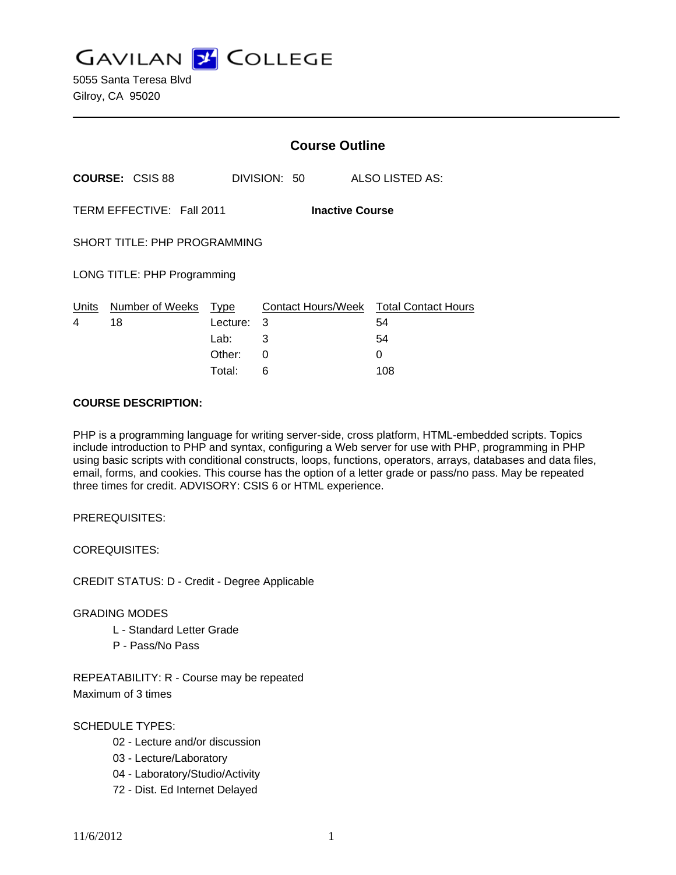**GAVILAN J COLLEGE** 

5055 Santa Teresa Blvd Gilroy, CA 95020

|                                                     |                             | <b>Course Outline</b> |              |                                              |
|-----------------------------------------------------|-----------------------------|-----------------------|--------------|----------------------------------------------|
| <b>COURSE: CSIS 88</b>                              |                             |                       | DIVISION: 50 | ALSO LISTED AS:                              |
| TERM EFFECTIVE: Fall 2011<br><b>Inactive Course</b> |                             |                       |              |                                              |
| SHORT TITLE: PHP PROGRAMMING                        |                             |                       |              |                                              |
|                                                     | LONG TITLE: PHP Programming |                       |              |                                              |
| Units<br>4                                          | Number of Weeks<br>18       | Type<br>Lecture:      | 3            | Contact Hours/Week Total Contact Hours<br>54 |
|                                                     |                             | Lab:                  | 3            | 54                                           |
|                                                     |                             | Other:                | 0            | 0                                            |
|                                                     |                             | Total:                | 6            | 108                                          |

#### **COURSE DESCRIPTION:**

PHP is a programming language for writing server-side, cross platform, HTML-embedded scripts. Topics include introduction to PHP and syntax, configuring a Web server for use with PHP, programming in PHP using basic scripts with conditional constructs, loops, functions, operators, arrays, databases and data files, email, forms, and cookies. This course has the option of a letter grade or pass/no pass. May be repeated three times for credit. ADVISORY: CSIS 6 or HTML experience.

PREREQUISITES:

COREQUISITES:

CREDIT STATUS: D - Credit - Degree Applicable

#### GRADING MODES

- L Standard Letter Grade
- P Pass/No Pass

REPEATABILITY: R - Course may be repeated Maximum of 3 times

SCHEDULE TYPES:

- 02 Lecture and/or discussion
- 03 Lecture/Laboratory
- 04 Laboratory/Studio/Activity
- 72 Dist. Ed Internet Delayed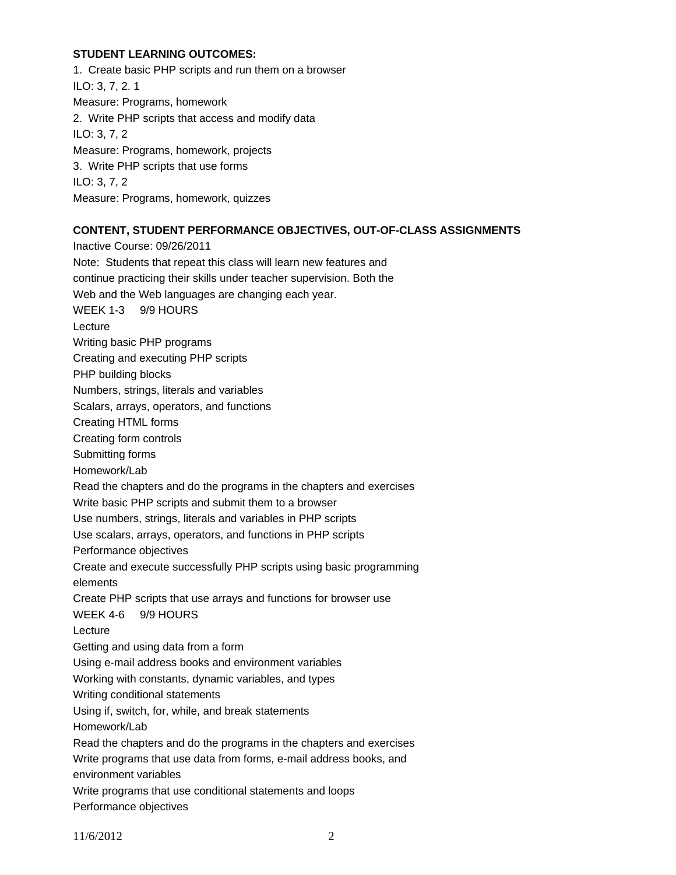## **STUDENT LEARNING OUTCOMES:**

1. Create basic PHP scripts and run them on a browser ILO: 3, 7, 2. 1 Measure: Programs, homework 2. Write PHP scripts that access and modify data ILO: 3, 7, 2 Measure: Programs, homework, projects 3. Write PHP scripts that use forms ILO: 3, 7, 2 Measure: Programs, homework, quizzes

## **CONTENT, STUDENT PERFORMANCE OBJECTIVES, OUT-OF-CLASS ASSIGNMENTS**

Inactive Course: 09/26/2011 Note: Students that repeat this class will learn new features and continue practicing their skills under teacher supervision. Both the Web and the Web languages are changing each year. WEEK 1-3 9/9 HOURS Lecture Writing basic PHP programs Creating and executing PHP scripts PHP building blocks Numbers, strings, literals and variables Scalars, arrays, operators, and functions Creating HTML forms Creating form controls Submitting forms Homework/Lab Read the chapters and do the programs in the chapters and exercises Write basic PHP scripts and submit them to a browser Use numbers, strings, literals and variables in PHP scripts Use scalars, arrays, operators, and functions in PHP scripts Performance objectives Create and execute successfully PHP scripts using basic programming elements Create PHP scripts that use arrays and functions for browser use WEEK 4-6 9/9 HOURS Lecture Getting and using data from a form Using e-mail address books and environment variables Working with constants, dynamic variables, and types Writing conditional statements Using if, switch, for, while, and break statements Homework/Lab Read the chapters and do the programs in the chapters and exercises Write programs that use data from forms, e-mail address books, and environment variables Write programs that use conditional statements and loops Performance objectives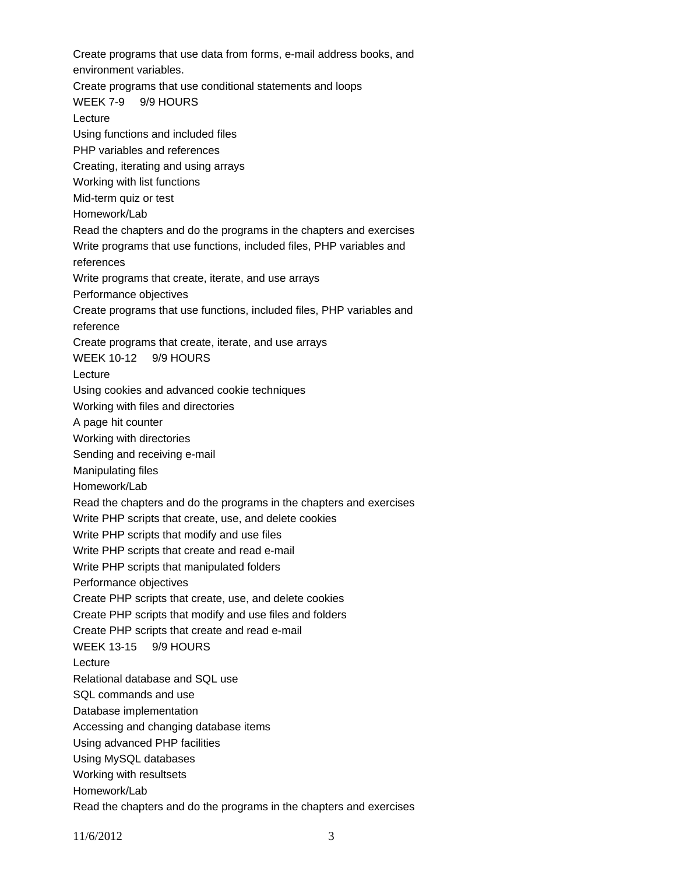Create programs that use data from forms, e-mail address books, and environment variables. Create programs that use conditional statements and loops WEEK 7-9 9/9 HOURS Lecture Using functions and included files PHP variables and references Creating, iterating and using arrays Working with list functions Mid-term quiz or test Homework/Lab Read the chapters and do the programs in the chapters and exercises Write programs that use functions, included files, PHP variables and references Write programs that create, iterate, and use arrays Performance objectives Create programs that use functions, included files, PHP variables and reference Create programs that create, iterate, and use arrays WEEK 10-12 9/9 HOURS Lecture Using cookies and advanced cookie techniques Working with files and directories A page hit counter Working with directories Sending and receiving e-mail Manipulating files Homework/Lab Read the chapters and do the programs in the chapters and exercises Write PHP scripts that create, use, and delete cookies Write PHP scripts that modify and use files Write PHP scripts that create and read e-mail Write PHP scripts that manipulated folders Performance objectives Create PHP scripts that create, use, and delete cookies Create PHP scripts that modify and use files and folders Create PHP scripts that create and read e-mail WEEK 13-15 9/9 HOURS Lecture Relational database and SQL use SQL commands and use Database implementation Accessing and changing database items Using advanced PHP facilities Using MySQL databases Working with resultsets Homework/Lab Read the chapters and do the programs in the chapters and exercises

11/6/2012 3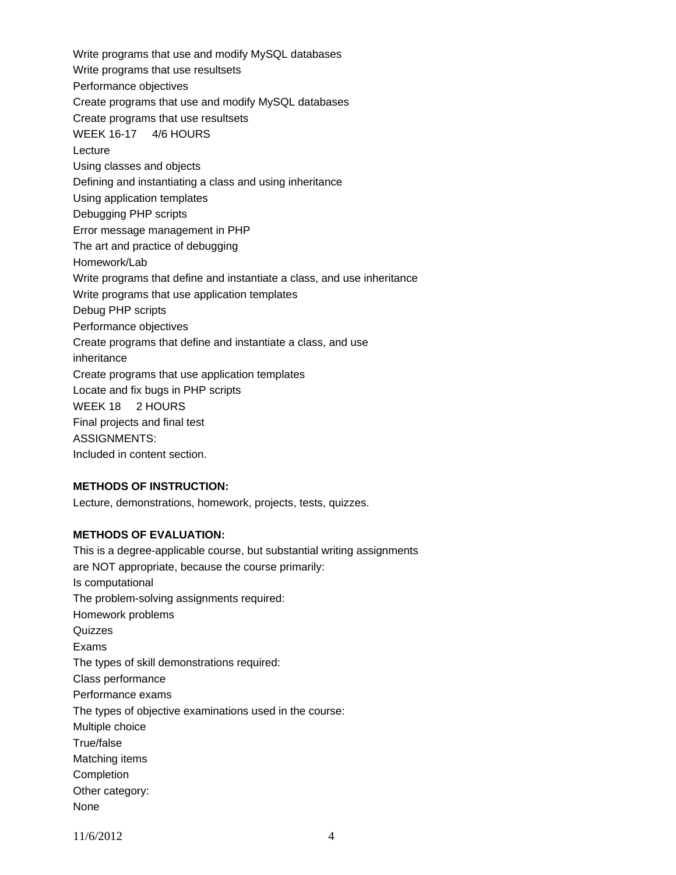Write programs that use and modify MySQL databases Write programs that use resultsets Performance objectives Create programs that use and modify MySQL databases Create programs that use resultsets WEEK 16-17 4/6 HOURS Lecture Using classes and objects Defining and instantiating a class and using inheritance Using application templates Debugging PHP scripts Error message management in PHP The art and practice of debugging Homework/Lab Write programs that define and instantiate a class, and use inheritance Write programs that use application templates Debug PHP scripts Performance objectives Create programs that define and instantiate a class, and use inheritance Create programs that use application templates Locate and fix bugs in PHP scripts WEEK 18 2 HOURS Final projects and final test ASSIGNMENTS: Included in content section.

## **METHODS OF INSTRUCTION:**

Lecture, demonstrations, homework, projects, tests, quizzes.

#### **METHODS OF EVALUATION:**

This is a degree-applicable course, but substantial writing assignments are NOT appropriate, because the course primarily: Is computational The problem-solving assignments required: Homework problems **Quizzes** Exams The types of skill demonstrations required: Class performance Performance exams The types of objective examinations used in the course: Multiple choice True/false Matching items **Completion** Other category: None

11/6/2012 4